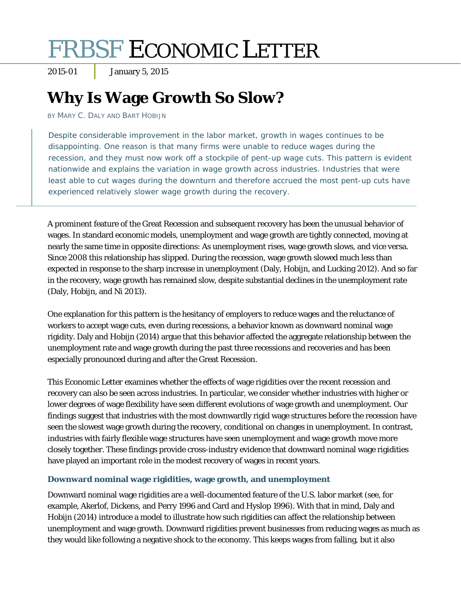# FRBSF ECONOMIC LETTER

2015-01 January 5, 2015

## **Why Is Wage Growth So Slow?**

BY MARY C. DALY AND BART HOBIJN

Despite considerable improvement in the labor market, growth in wages continues to be disappointing. One reason is that many firms were unable to reduce wages during the recession, and they must now work off a stockpile of pent-up wage cuts. This pattern is evident nationwide and explains the variation in wage growth across industries. Industries that were least able to cut wages during the downturn and therefore accrued the most pent-up cuts have experienced relatively slower wage growth during the recovery.

A prominent feature of the Great Recession and subsequent recovery has been the unusual behavior of wages. In standard economic models, unemployment and wage growth are tightly connected, moving at nearly the same time in opposite directions: As unemployment rises, wage growth slows, and vice versa. Since 2008 this relationship has slipped. During the recession, wage growth slowed much less than expected in response to the sharp increase in unemployment (Daly, Hobijn, and Lucking 2012). And so far in the recovery, wage growth has remained slow, despite substantial declines in the unemployment rate (Daly, Hobijn, and Ni 2013).

One explanation for this pattern is the hesitancy of employers to reduce wages and the reluctance of workers to accept wage cuts, even during recessions, a behavior known as downward nominal wage rigidity. Daly and Hobijn (2014) argue that this behavior affected the aggregate relationship between the unemployment rate and wage growth during the past three recessions and recoveries and has been especially pronounced during and after the Great Recession.

This *Economic Letter* examines whether the effects of wage rigidities over the recent recession and recovery can also be seen across industries. In particular, we consider whether industries with higher or lower degrees of wage flexibility have seen different evolutions of wage growth and unemployment. Our findings suggest that industries with the most downwardly rigid wage structures before the recession have seen the slowest wage growth during the recovery, conditional on changes in unemployment. In contrast, industries with fairly flexible wage structures have seen unemployment and wage growth move more closely together. These findings provide cross-industry evidence that downward nominal wage rigidities have played an important role in the modest recovery of wages in recent years.

### **Downward nominal wage rigidities, wage growth, and unemployment**

Downward nominal wage rigidities are a well-documented feature of the U.S. labor market (see, for example, Akerlof, Dickens, and Perry 1996 and Card and Hyslop 1996). With that in mind, Daly and Hobijn (2014) introduce a model to illustrate how such rigidities can affect the relationship between unemployment and wage growth. Downward rigidities prevent businesses from reducing wages as much as they would like following a negative shock to the economy. This keeps wages from falling, but it also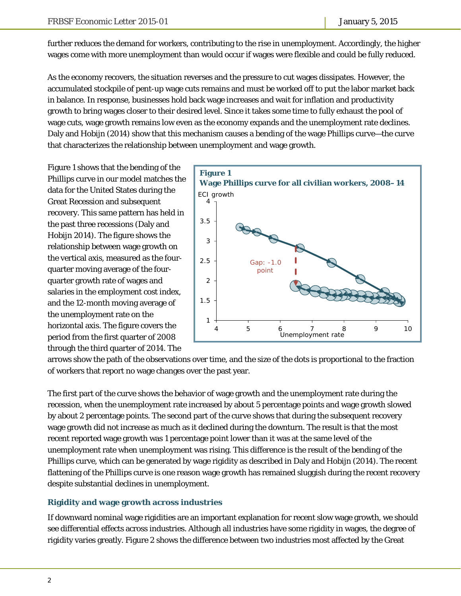further reduces the demand for workers, contributing to the rise in unemployment. Accordingly, the higher wages come with more unemployment than would occur if wages were flexible and could be fully reduced.

As the economy recovers, the situation reverses and the pressure to cut wages dissipates. However, the accumulated stockpile of pent-up wage cuts remains and must be worked off to put the labor market back in balance. In response, businesses hold back wage increases and wait for inflation and productivity growth to bring wages closer to their desired level. Since it takes some time to fully exhaust the pool of wage cuts, wage growth remains low even as the economy expands and the unemployment rate declines. Daly and Hobijn (2014) show that this mechanism causes a bending of the wage Phillips curve—the curve that characterizes the relationship between unemployment and wage growth.

Figure 1 shows that the bending of the Phillips curve in our model matches the data for the United States during the Great Recession and subsequent recovery. This same pattern has held in the past three recessions (Daly and Hobijn 2014). The figure shows the relationship between wage growth on the vertical axis, measured as the fourquarter moving average of the fourquarter growth rate of wages and salaries in the employment cost index, and the 12-month moving average of the unemployment rate on the horizontal axis. The figure covers the period from the first quarter of 2008 through the third quarter of 2014. The



arrows show the path of the observations over time, and the size of the dots is proportional to the fraction of workers that report no wage changes over the past year.

The first part of the curve shows the behavior of wage growth and the unemployment rate during the recession, when the unemployment rate increased by about 5 percentage points and wage growth slowed by about 2 percentage points. The second part of the curve shows that during the subsequent recovery wage growth did not increase as much as it declined during the downturn. The result is that the most recent reported wage growth was 1 percentage point lower than it was at the same level of the unemployment rate when unemployment was rising. This difference is the result of the bending of the Phillips curve, which can be generated by wage rigidity as described in Daly and Hobijn (2014). The recent flattening of the Phillips curve is one reason wage growth has remained sluggish during the recent recovery despite substantial declines in unemployment.

#### **Rigidity and wage growth across industries**

If downward nominal wage rigidities are an important explanation for recent slow wage growth, we should see differential effects across industries. Although all industries have some rigidity in wages, the degree of rigidity varies greatly. Figure 2 shows the difference between two industries most affected by the Great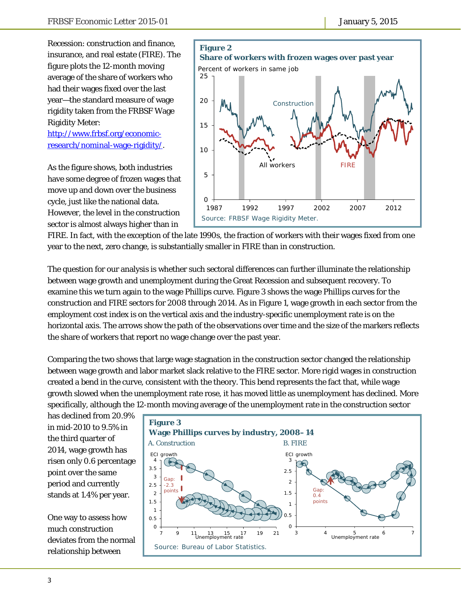Recession: construction and finance, insurance, and real estate (FIRE). The figure plots the 12-month moving average of the share of workers who had their wages fixed over the last year—the standard measure of wage rigidity taken from the FRBSF Wage Rigidity Meter:

http://www.frbsf.org/economicresearch/nominal-wage-rigidity/.

As the figure shows, both industries have some degree of frozen wages that move up and down over the business cycle, just like the national data. However, the level in the construction sector is almost always higher than in



FIRE. In fact, with the exception of the late 1990s, the fraction of workers with their wages fixed from one year to the next, zero change, is substantially smaller in FIRE than in construction.

The question for our analysis is whether such sectoral differences can further illuminate the relationship between wage growth and unemployment during the Great Recession and subsequent recovery. To examine this we turn again to the wage Phillips curve. Figure 3 shows the wage Phillips curves for the construction and FIRE sectors for 2008 through 2014. As in Figure 1, wage growth in each sector from the employment cost index is on the vertical axis and the industry-specific unemployment rate is on the horizontal axis. The arrows show the path of the observations over time and the size of the markers reflects the share of workers that report no wage change over the past year.

Comparing the two shows that large wage stagnation in the construction sector changed the relationship between wage growth and labor market slack relative to the FIRE sector. More rigid wages in construction created a bend in the curve, consistent with the theory. This bend represents the fact that, while wage growth slowed when the unemployment rate rose, it has moved little as unemployment has declined. More specifically, although the 12-month moving average of the unemployment rate in the construction sector

has declined from 20.9% in mid-2010 to 9.5% in the third quarter of 2014, wage growth has risen only 0.6 percentage point over the same period and currently stands at 1.4% per year.

One way to assess how much construction deviates from the normal relationship between

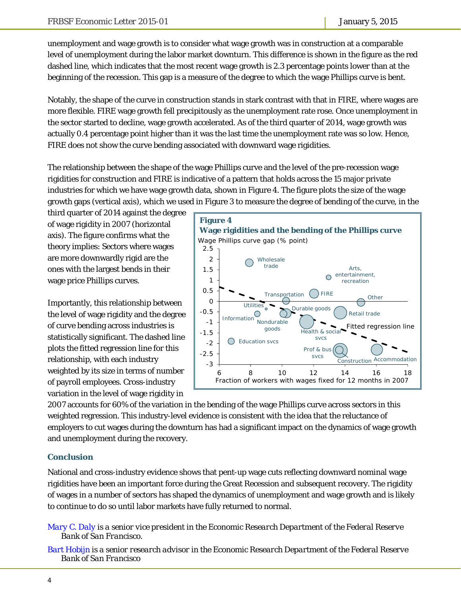unemployment and wage growth is to consider what wage growth was in construction at a comparable level of unemployment during the labor market downturn. This difference is shown in the figure as the red dashed line, which indicates that the most recent wage growth is 2.3 percentage points lower than at the beginning of the recession. This gap is a measure of the degree to which the wage Phillips curve is bent.

Notably, the shape of the curve in construction stands in stark contrast with that in FIRE, where wages are more flexible. FIRE wage growth fell precipitously as the unemployment rate rose. Once unemployment in the sector started to decline, wage growth accelerated. As of the third quarter of 2014, wage growth was actually 0.4 percentage point higher than it was the last time the unemployment rate was so low. Hence, FIRE does not show the curve bending associated with downward wage rigidities.

The relationship between the shape of the wage Phillips curve and the level of the pre-recession wage rigidities for construction and FIRE is indicative of a pattern that holds across the 15 major private industries for which we have wage growth data, shown in Figure 4. The figure plots the size of the wage growth gaps (vertical axis), which we used in Figure 3 to measure the degree of bending of the curve, in the

third quarter of 2014 against the degree of wage rigidity in 2007 (horizontal axis). The figure confirms what the theory implies: Sectors where wages are more downwardly rigid are the ones with the largest bends in their wage price Phillips curves.

Importantly, this relationship between the level of wage rigidity and the degree of curve bending across industries is statistically significant. The dashed line plots the fitted regression line for this relationship, with each industry weighted by its size in terms of number of payroll employees. Cross-industry variation in the level of wage rigidity in



2007 accounts for 60% of the variation in the bending of the wage Phillips curve across sectors in this weighted regression. This industry-level evidence is consistent with the idea that the reluctance of employers to cut wages during the downturn has had a significant impact on the dynamics of wage growth and unemployment during the recovery.

### **Conclusion**

National and cross-industry evidence shows that pent-up wage cuts reflecting downward nominal wage rigidities have been an important force during the Great Recession and subsequent recovery. The rigidity of wages in a number of sectors has shaped the dynamics of unemployment and wage growth and is likely to continue to do so until labor markets have fully returned to normal.

*[Mary C. Daly is](http://www.frbsf.org/economic-research/economists/mary-c-daly/) a senior vice president in the Economic Research Department of the Federal Reserve Bank of San Francisco.* 

*[Bart Hobijn](http://www.frbsf.org/economic-research/economists/bart-hobijn/) is a senior research advisor in the Economic Research Department of the Federal Reserve Bank of San Francisco*